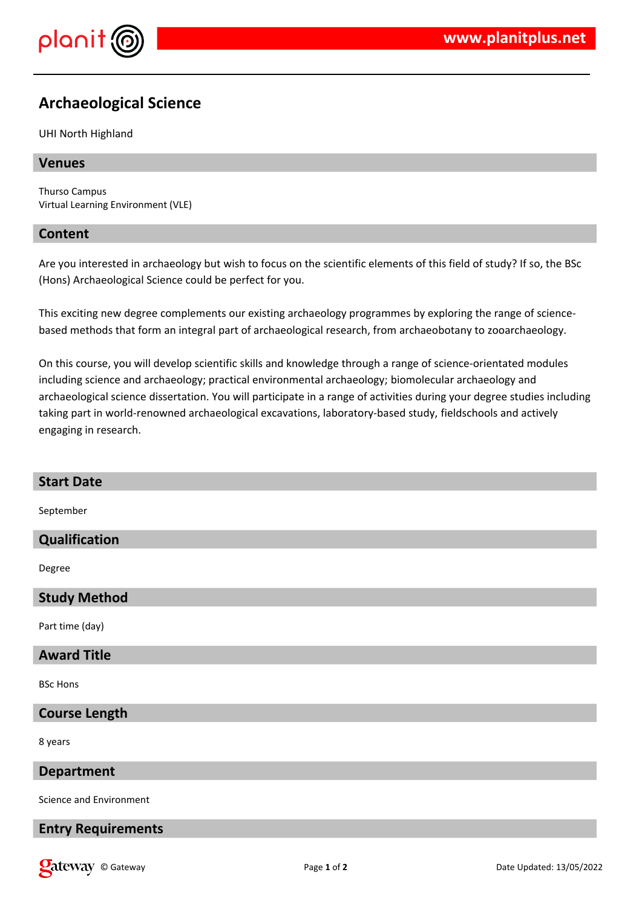

# **Archaeological Science**

#### UHI North Highland

# **Venues**

Thurso Campus Virtual Learning Environment (VLE)

# **Content**

Are you interested in archaeology but wish to focus on the scientific elements of this field of study? If so, the BSc (Hons) Archaeological Science could be perfect for you.

This exciting new degree complements our existing archaeology programmes by exploring the range of sciencebased methods that form an integral part of archaeological research, from archaeobotany to zooarchaeology.

On this course, you will develop scientific skills and knowledge through a range of science-orientated modules including science and archaeology; practical environmental archaeology; biomolecular archaeology and archaeological science dissertation. You will participate in a range of activities during your degree studies including taking part in world-renowned archaeological excavations, laboratory-based study, fieldschools and actively engaging in research.

# **Start Date**

September

## **Qualification**

Degree

#### **Study Method**

Part time (day)

## **Award Title**

BSc Hons

#### **Course Length**

8 years

#### **Department**

Science and Environment

#### **Entry Requirements**

**Call Community** Called Gateway **Page 1** of **2** Date Updated: 13/05/2022 **Date Updated: 13/05/2022**